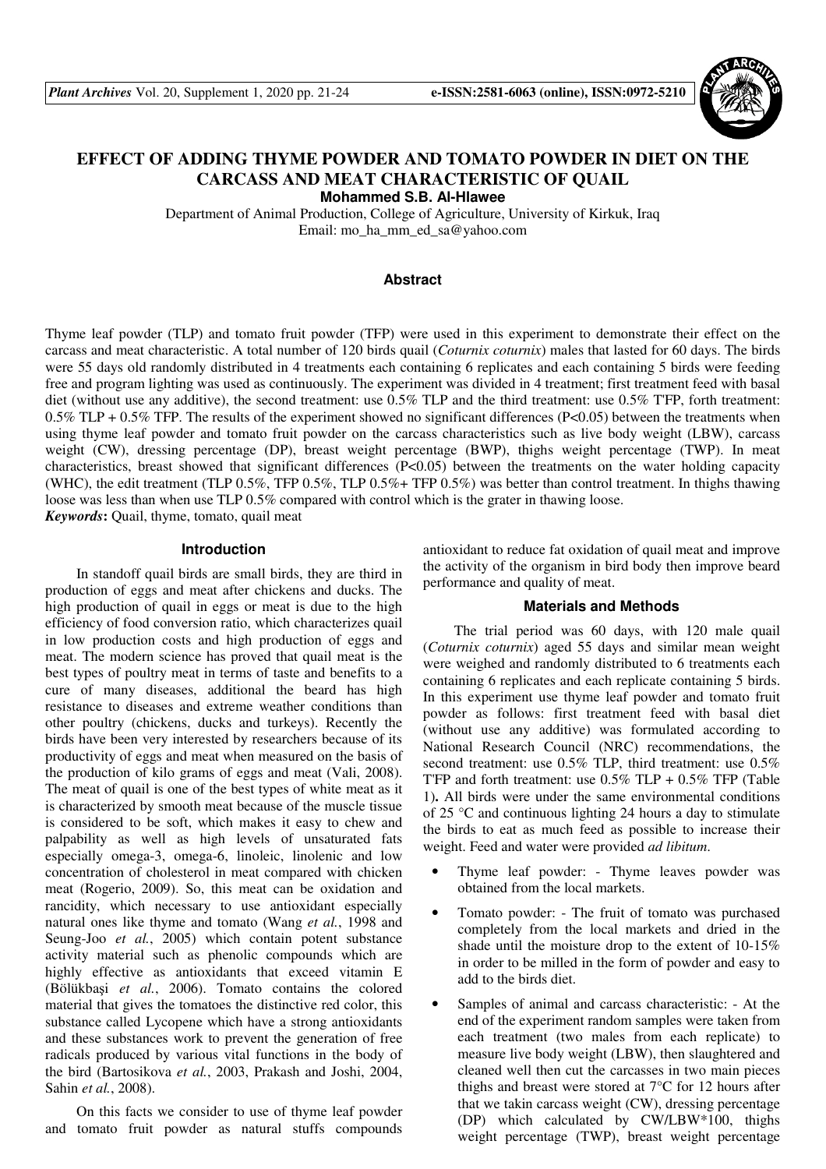

# **EFFECT OF ADDING THYME POWDER AND TOMATO POWDER IN DIET ON THE CARCASS AND MEAT CHARACTERISTIC OF QUAIL**

**Mohammed S.B. Al-Hlawee** 

Department of Animal Production, College of Agriculture, University of Kirkuk, Iraq Email: mo\_ha\_mm\_ed\_sa@yahoo.com

# **Abstract**

Thyme leaf powder (TLP) and tomato fruit powder (TFP) were used in this experiment to demonstrate their effect on the carcass and meat characteristic. A total number of 120 birds quail (*Coturnix coturnix*) males that lasted for 60 days. The birds were 55 days old randomly distributed in 4 treatments each containing 6 replicates and each containing 5 birds were feeding free and program lighting was used as continuously. The experiment was divided in 4 treatment; first treatment feed with basal diet (without use any additive), the second treatment: use 0.5% TLP and the third treatment: use 0.5% T'FP, forth treatment: 0.5% TLP + 0.5% TFP. The results of the experiment showed no significant differences (P<0.05) between the treatments when using thyme leaf powder and tomato fruit powder on the carcass characteristics such as live body weight (LBW), carcass weight (CW), dressing percentage (DP), breast weight percentage (BWP), thighs weight percentage (TWP). In meat characteristics, breast showed that significant differences (P<0.05) between the treatments on the water holding capacity (WHC), the edit treatment (TLP 0.5%, TFP 0.5%, TLP 0.5%+ TFP 0.5%) was better than control treatment. In thighs thawing loose was less than when use TLP 0.5% compared with control which is the grater in thawing loose. *Keywords***:** Quail, thyme, tomato, quail meat

#### **Introduction**

In standoff quail birds are small birds, they are third in production of eggs and meat after chickens and ducks. The high production of quail in eggs or meat is due to the high efficiency of food conversion ratio, which characterizes quail in low production costs and high production of eggs and meat. The modern science has proved that quail meat is the best types of poultry meat in terms of taste and benefits to a cure of many diseases, additional the beard has high resistance to diseases and extreme weather conditions than other poultry (chickens, ducks and turkeys). Recently the birds have been very interested by researchers because of its productivity of eggs and meat when measured on the basis of the production of kilo grams of eggs and meat (Vali, 2008). The meat of quail is one of the best types of white meat as it is characterized by smooth meat because of the muscle tissue is considered to be soft, which makes it easy to chew and palpability as well as high levels of unsaturated fats especially omega-3, omega-6, linoleic, linolenic and low concentration of cholesterol in meat compared with chicken meat (Rogerio, 2009). So, this meat can be oxidation and rancidity, which necessary to use antioxidant especially natural ones like thyme and tomato (Wang *et al.*, 1998 and Seung-Joo *et al.*, 2005) which contain potent substance activity material such as phenolic compounds which are highly effective as antioxidants that exceed vitamin E (Bölükbaşi *et al.*, 2006). Tomato contains the colored material that gives the tomatoes the distinctive red color, this substance called Lycopene which have a strong antioxidants and these substances work to prevent the generation of free radicals produced by various vital functions in the body of the bird (Bartosikova *et al.*, 2003, Prakash and Joshi, 2004, Sahin *et al.*, 2008).

On this facts we consider to use of thyme leaf powder and tomato fruit powder as natural stuffs compounds antioxidant to reduce fat oxidation of quail meat and improve the activity of the organism in bird body then improve beard performance and quality of meat.

#### **Materials and Methods**

The trial period was 60 days, with 120 male quail (*Coturnix coturnix*) aged 55 days and similar mean weight were weighed and randomly distributed to 6 treatments each containing 6 replicates and each replicate containing 5 birds. In this experiment use thyme leaf powder and tomato fruit powder as follows: first treatment feed with basal diet (without use any additive) was formulated according to National Research Council (NRC) recommendations, the second treatment: use 0.5% TLP, third treatment: use 0.5% T'FP and forth treatment: use  $0.5\%$  TLP +  $0.5\%$  TFP (Table 1). All birds were under the same environmental conditions of 25 °C and continuous lighting 24 hours a day to stimulate the birds to eat as much feed as possible to increase their weight. Feed and water were provided *ad libitum*.

- Thyme leaf powder: Thyme leaves powder was obtained from the local markets.
- Tomato powder: The fruit of tomato was purchased completely from the local markets and dried in the shade until the moisture drop to the extent of 10-15% in order to be milled in the form of powder and easy to add to the birds diet.
- Samples of animal and carcass characteristic: At the end of the experiment random samples were taken from each treatment (two males from each replicate) to measure live body weight (LBW), then slaughtered and cleaned well then cut the carcasses in two main pieces thighs and breast were stored at 7°C for 12 hours after that we takin carcass weight (CW), dressing percentage (DP) which calculated by CW/LBW\*100, thighs weight percentage (TWP), breast weight percentage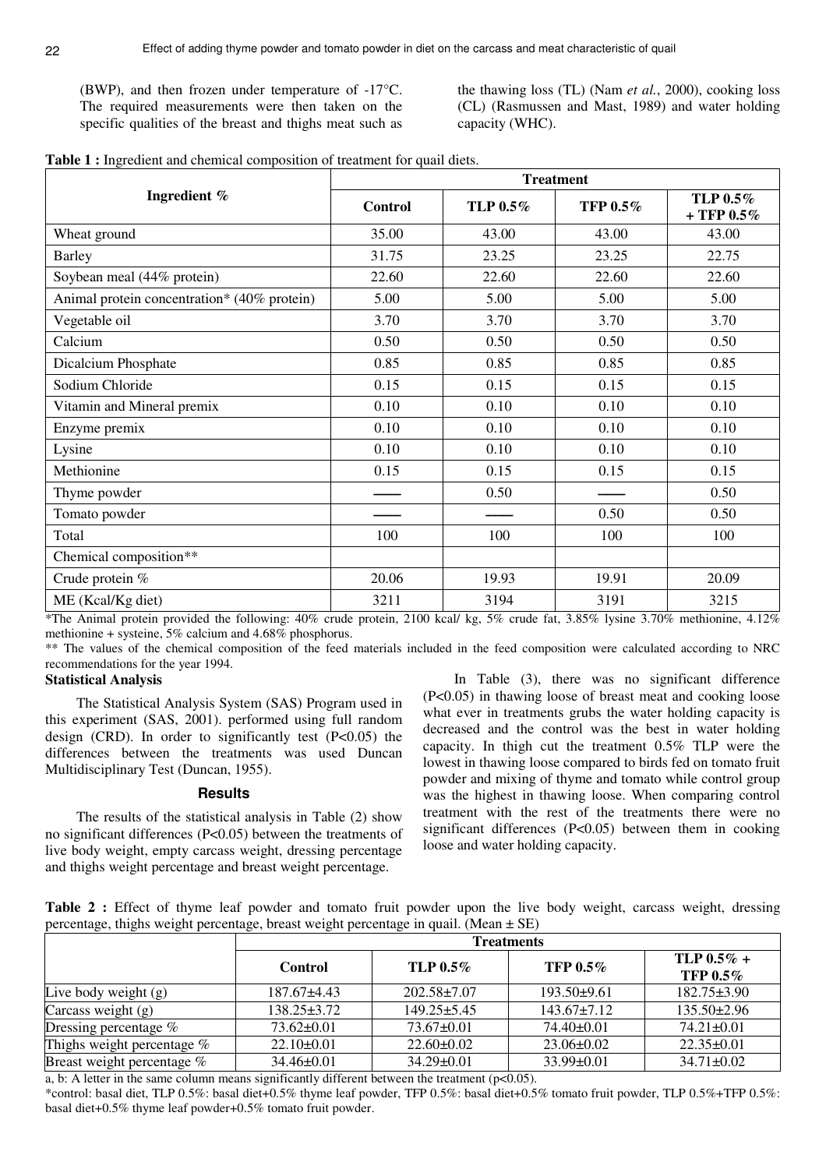(BWP), and then frozen under temperature of -17°C. The required measurements were then taken on the specific qualities of the breast and thighs meat such as the thawing loss (TL) (Nam *et al.*, 2000), cooking loss (CL) (Rasmussen and Mast, 1989) and water holding capacity (WHC).

| Table 1 : Ingredient and chemical composition of treatment for quail diets. |  |
|-----------------------------------------------------------------------------|--|
|-----------------------------------------------------------------------------|--|

|                                             | <b>Treatment</b> |          |                 |                           |  |
|---------------------------------------------|------------------|----------|-----------------|---------------------------|--|
| Ingredient %                                | <b>Control</b>   | TLP 0.5% | <b>TFP 0.5%</b> | TLP 0.5%<br>+ TFP $0.5\%$ |  |
| Wheat ground                                | 35.00            | 43.00    | 43.00           | 43.00                     |  |
| <b>Barley</b>                               | 31.75            | 23.25    | 23.25           | 22.75                     |  |
| Soybean meal (44% protein)                  | 22.60            | 22.60    | 22.60           | 22.60                     |  |
| Animal protein concentration* (40% protein) | 5.00             | 5.00     | 5.00            | 5.00                      |  |
| Vegetable oil                               | 3.70             | 3.70     | 3.70            | 3.70                      |  |
| Calcium                                     | 0.50             | 0.50     | 0.50            | 0.50                      |  |
| Dicalcium Phosphate                         | 0.85             | 0.85     | 0.85            | 0.85                      |  |
| Sodium Chloride                             | 0.15             | 0.15     | 0.15            | 0.15                      |  |
| Vitamin and Mineral premix                  | 0.10             | 0.10     | 0.10            | 0.10                      |  |
| Enzyme premix                               | 0.10             | 0.10     | 0.10            | 0.10                      |  |
| Lysine                                      | 0.10             | 0.10     | 0.10            | 0.10                      |  |
| Methionine                                  | 0.15             | 0.15     | 0.15            | 0.15                      |  |
| Thyme powder                                |                  | 0.50     |                 | 0.50                      |  |
| Tomato powder                               |                  |          | 0.50            | 0.50                      |  |
| Total                                       | 100              | 100      | 100             | 100                       |  |
| Chemical composition**                      |                  |          |                 |                           |  |
| Crude protein %                             | 20.06            | 19.93    | 19.91           | 20.09                     |  |
| ME (Kcal/Kg diet)                           | 3211             | 3194     | 3191            | 3215                      |  |

\*The Animal protein provided the following: 40% crude protein, 2100 kcal/ kg, 5% crude fat, 3.85% lysine 3.70% methionine, 4.12% methionine + systeine, 5% calcium and 4.68% phosphorus.

\*\* The values of the chemical composition of the feed materials included in the feed composition were calculated according to NRC recommendations for the year 1994.

### **Statistical Analysis**

The Statistical Analysis System (SAS) Program used in this experiment (SAS, 2001). performed using full random design (CRD). In order to significantly test  $(P<0.05)$  the differences between the treatments was used Duncan Multidisciplinary Test (Duncan, 1955).

#### **Results**

The results of the statistical analysis in Table (2) show no significant differences (P<0.05) between the treatments of live body weight, empty carcass weight, dressing percentage and thighs weight percentage and breast weight percentage.

In Table (3), there was no significant difference (P<0.05) in thawing loose of breast meat and cooking loose what ever in treatments grubs the water holding capacity is decreased and the control was the best in water holding capacity. In thigh cut the treatment 0.5% TLP were the lowest in thawing loose compared to birds fed on tomato fruit powder and mixing of thyme and tomato while control group was the highest in thawing loose. When comparing control treatment with the rest of the treatments there were no significant differences (P<0.05) between them in cooking loose and water holding capacity.

**Table 2 :** Effect of thyme leaf powder and tomato fruit powder upon the live body weight, carcass weight, dressing percentage, thighs weight percentage, breast weight percentage in quail. (Mean  $\pm$  SE)

|                            | <b>Treatments</b> |                   |                   |                              |
|----------------------------|-------------------|-------------------|-------------------|------------------------------|
|                            | Control           | TLP $0.5\%$       | TFP $0.5\%$       | $TLP 0.5\% +$<br>TFP $0.5\%$ |
| Live body weight $(g)$     | $187.67\pm4.43$   | $202.58 \pm 7.07$ | $193.50+9.61$     | $182.75 \pm 3.90$            |
| Carcass weight $(g)$       | $138.25 \pm 3.72$ | $149.25 \pm 5.45$ | $143.67 \pm 7.12$ | $135.50 \pm 2.96$            |
| Dressing percentage %      | $73.62 \pm 0.01$  | $73.67\pm0.01$    | $74.40\pm0.01$    | $74.21 \pm 0.01$             |
| Thighs weight percentage % | $22.10\pm0.01$    | $22.60 \pm 0.02$  | $23.06 \pm 0.02$  | $22.35\pm0.01$               |
| Breast weight percentage % | $34.46\pm0.01$    | $34.29 \pm 0.01$  | $33.99 \pm 0.01$  | $34.71 \pm 0.02$             |

a, b: A letter in the same column means significantly different between the treatment ( $p<0.05$ ).

\*control: basal diet, TLP 0.5%: basal diet+0.5% thyme leaf powder, TFP 0.5%: basal diet+0.5% tomato fruit powder, TLP 0.5%+TFP 0.5%: basal diet+0.5% thyme leaf powder+0.5% tomato fruit powder.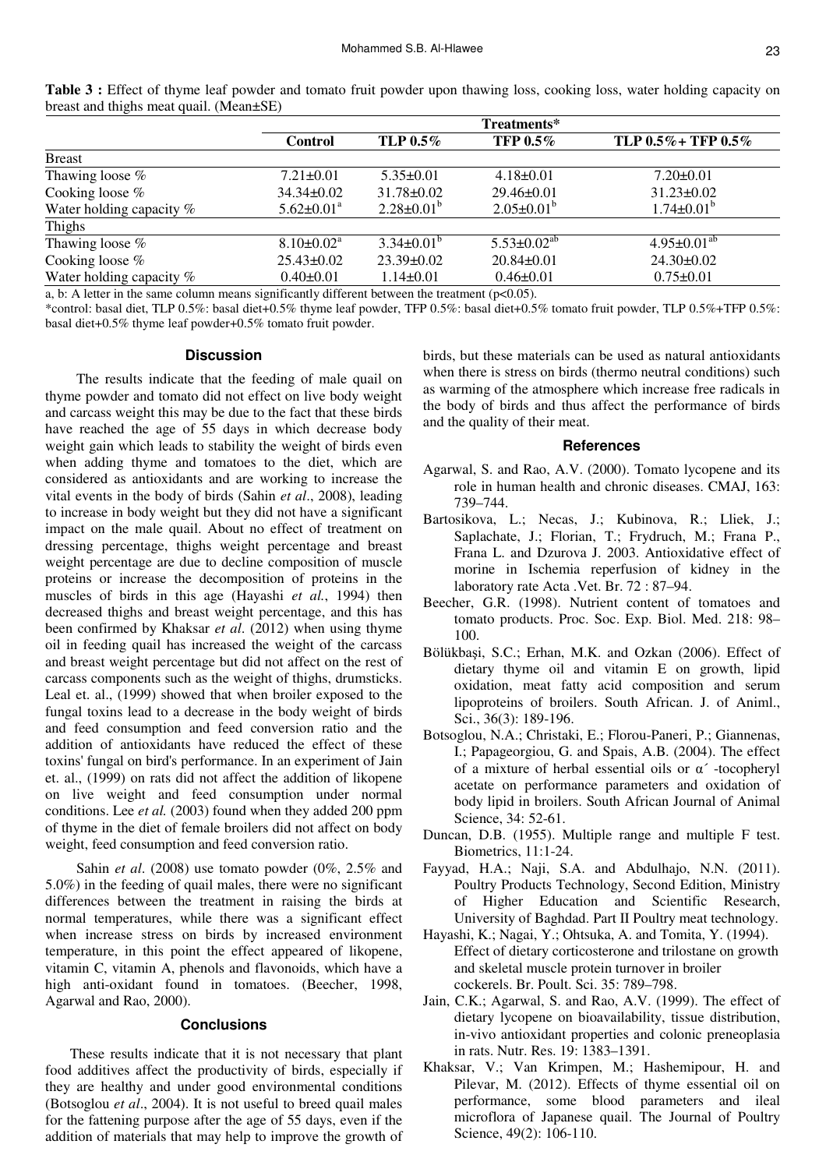|                          | Treatments*                  |                   |                      |                           |  |
|--------------------------|------------------------------|-------------------|----------------------|---------------------------|--|
|                          | <b>Control</b>               | TLP $0.5\%$       | TFP $0.5\%$          | TLP $0.5\%$ + TFP $0.5\%$ |  |
| <b>Breast</b>            |                              |                   |                      |                           |  |
| Thawing loose %          | $7.21 \pm 0.01$              | $5.35 \pm 0.01$   | $4.18 \pm 0.01$      | $7.20 \pm 0.01$           |  |
| Cooking loose $%$        | $34.34 \pm 0.02$             | $31.78 \pm 0.02$  | $29.46 \pm 0.01$     | $31.23 \pm 0.02$          |  |
| Water holding capacity % | $5.62 \pm 0.01$ <sup>a</sup> | $2.28 \pm 0.01^b$ | $2.05 \pm 0.01^b$    | $1.74 \pm 0.01^b$         |  |
| Thighs                   |                              |                   |                      |                           |  |
| Thawing loose %          | $8.10 \pm 0.02^{\text{a}}$   | $3.34\pm0.01^b$   | $5.53 \pm 0.02^{ab}$ | $4.95 \pm 0.01^{ab}$      |  |
| Cooking loose $%$        | $25.43 \pm 0.02$             | $23.39 \pm 0.02$  | $20.84 \pm 0.01$     | $24.30 \pm 0.02$          |  |
| Water holding capacity % | $0.40 \pm 0.01$              | $1.14 \pm 0.01$   | $0.46 \pm 0.01$      | $0.75 \pm 0.01$           |  |
|                          |                              |                   |                      |                           |  |

**Table 3 :** Effect of thyme leaf powder and tomato fruit powder upon thawing loss, cooking loss, water holding capacity on breast and thighs meat quail. (Mean±SE)

a, b: A letter in the same column means significantly different between the treatment ( $p<0.05$ ).

\*control: basal diet, TLP 0.5%: basal diet+0.5% thyme leaf powder, TFP 0.5%: basal diet+0.5% tomato fruit powder, TLP 0.5%+TFP 0.5%: basal diet+0.5% thyme leaf powder+0.5% tomato fruit powder.

#### **Discussion**

The results indicate that the feeding of male quail on thyme powder and tomato did not effect on live body weight and carcass weight this may be due to the fact that these birds have reached the age of 55 days in which decrease body weight gain which leads to stability the weight of birds even when adding thyme and tomatoes to the diet, which are considered as antioxidants and are working to increase the vital events in the body of birds (Sahin *et al*., 2008), leading to increase in body weight but they did not have a significant impact on the male quail. About no effect of treatment on dressing percentage, thighs weight percentage and breast weight percentage are due to decline composition of muscle proteins or increase the decomposition of proteins in the muscles of birds in this age (Hayashi *et al.*, 1994) then decreased thighs and breast weight percentage, and this has been confirmed by Khaksar *et al*. (2012) when using thyme oil in feeding quail has increased the weight of the carcass and breast weight percentage but did not affect on the rest of carcass components such as the weight of thighs, drumsticks. Leal et. al., (1999) showed that when broiler exposed to the fungal toxins lead to a decrease in the body weight of birds and feed consumption and feed conversion ratio and the addition of antioxidants have reduced the effect of these toxins' fungal on bird's performance. In an experiment of Jain et. al., (1999) on rats did not affect the addition of likopene on live weight and feed consumption under normal conditions. Lee *et al.* (2003) found when they added 200 ppm of thyme in the diet of female broilers did not affect on body weight, feed consumption and feed conversion ratio.

Sahin *et al*. (2008) use tomato powder (0%, 2.5% and 5.0%) in the feeding of quail males, there were no significant differences between the treatment in raising the birds at normal temperatures, while there was a significant effect when increase stress on birds by increased environment temperature, in this point the effect appeared of likopene, vitamin C, vitamin A, phenols and flavonoids, which have a high anti-oxidant found in tomatoes. (Beecher, 1998, Agarwal and Rao, 2000).

## **Conclusions**

 These results indicate that it is not necessary that plant food additives affect the productivity of birds, especially if they are healthy and under good environmental conditions (Botsoglou *et al*., 2004). It is not useful to breed quail males for the fattening purpose after the age of 55 days, even if the addition of materials that may help to improve the growth of birds, but these materials can be used as natural antioxidants when there is stress on birds (thermo neutral conditions) such as warming of the atmosphere which increase free radicals in the body of birds and thus affect the performance of birds and the quality of their meat.

#### **References**

- Agarwal, S. and Rao, A.V. (2000). Tomato lycopene and its role in human health and chronic diseases. CMAJ, 163: 739–744.
- Bartosikova, L.; Necas, J.; Kubinova, R.; Lliek, J.; Saplachate, J.; Florian, T.; Frydruch, M.; Frana P., Frana L. and Dzurova J. 2003. Antioxidative effect of morine in Ischemia reperfusion of kidney in the laboratory rate Acta .Vet. Br. 72 : 87–94.
- Beecher, G.R. (1998). Nutrient content of tomatoes and tomato products. Proc. Soc. Exp. Biol. Med. 218: 98– 100.
- Bölükbaşi, S.C.; Erhan, M.K. and Ozkan (2006). Effect of dietary thyme oil and vitamin E on growth, lipid oxidation, meat fatty acid composition and serum lipoproteins of broilers. South African. J. of Animl., Sci., 36(3): 189-196.
- Botsoglou, N.A.; Christaki, E.; Florou-Paneri, P.; Giannenas, I.; Papageorgiou, G. and Spais, A.B. (2004). The effect of a mixture of herbal essential oils or α´ -tocopheryl acetate on performance parameters and oxidation of body lipid in broilers. South African Journal of Animal Science, 34: 52-61.
- Duncan, D.B. (1955). Multiple range and multiple F test. Biometrics, 11:1-24.
- Fayyad, H.A.; Naji, S.A. and Abdulhajo, N.N. (2011). Poultry Products Technology, Second Edition, Ministry of Higher Education and Scientific Research, University of Baghdad. Part II Poultry meat technology.
- Hayashi, K.; Nagai, Y.; Ohtsuka, A. and Tomita, Y. (1994). Effect of dietary corticosterone and trilostane on growth and skeletal muscle protein turnover in broiler cockerels. Br. Poult. Sci. 35: 789–798.
- Jain, C.K.; Agarwal, S. and Rao, A.V. (1999). The effect of dietary lycopene on bioavailability, tissue distribution, in-vivo antioxidant properties and colonic preneoplasia in rats. Nutr. Res. 19: 1383–1391.
- Khaksar, V.; Van Krimpen, M.; Hashemipour, H. and Pilevar, M. (2012). Effects of thyme essential oil on performance, some blood parameters and ileal microflora of Japanese quail. The Journal of Poultry Science, 49(2): 106-110.